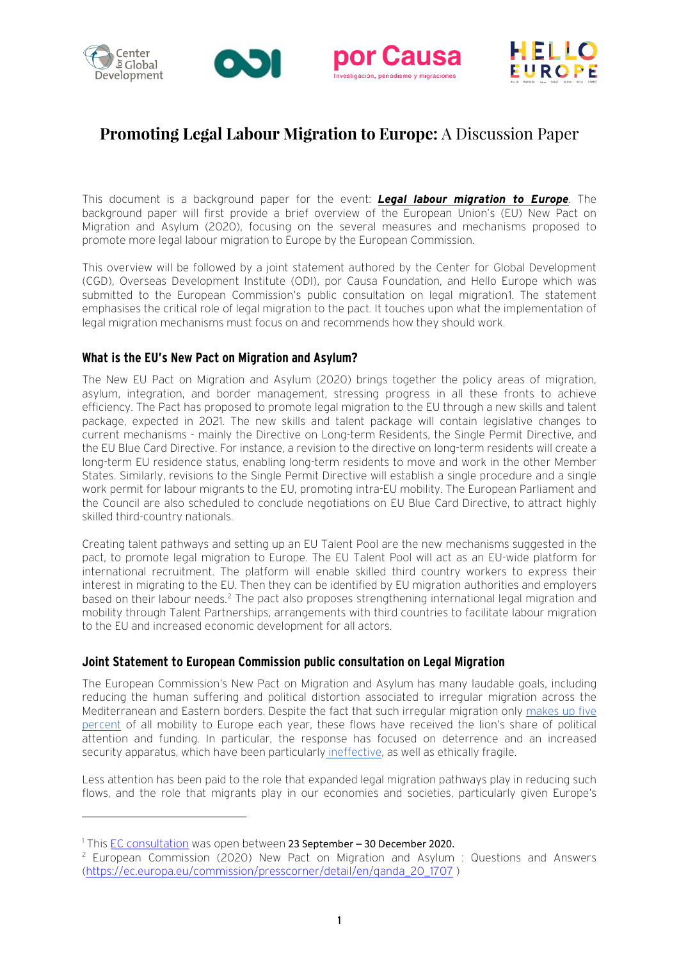

# **Promoting Legal Labour Migration to Europe:** A Discussion Paper

This document is a background paper for the event: *[Legal labour migration to](http://www.hello-europe.eu/events/expanding-labour-migration-to-europe-a-multi-stakeholder-vision) Europe.* The background paper will first provide a brief overview of the European Union's (EU) New Pact on Migration and Asylum (2020), focusing on the several measures and mechanisms proposed to promote more legal labour migration to Europe by the European Commission.

This overview will be followed by a joint statement authored by the Center for Global Development (CGD), Overseas Development Institute (ODI), por Causa Foundation, and Hello Europe which was submitted to the European Commission's public consultation on legal migration[1.](#page-0-0) The statement emphasises the critical role of legal migration to the pact. It touches upon what the implementation of legal migration mechanisms must focus on and recommends how they should work.

#### **What is the EU's New Pact on Migration and Asylum?**

The New EU Pact on Migration and Asylum (2020) brings together the policy areas of migration, asylum, integration, and border management, stressing progress in all these fronts to achieve efficiency. The Pact has proposed to promote legal migration to the EU through a new skills and talent package, expected in 2021. The new skills and talent package will contain legislative changes to current mechanisms - mainly the Directive on Long-term Residents, the Single Permit Directive, and the EU Blue Card Directive. For instance, a revision to the directive on long-term residents will create a long-term EU residence status, enabling long-term residents to move and work in the other Member States. Similarly, revisions to the Single Permit Directive will establish a single procedure and a single work permit for labour migrants to the EU, promoting intra-EU mobility. The European Parliament and the Council are also scheduled to conclude negotiations on EU Blue Card Directive, to attract highly skilled third-country nationals.

Creating talent pathways and setting up an EU Talent Pool are the new mechanisms suggested in the pact, to promote legal migration to Europe. The EU Talent Pool will act as an EU-wide platform for international recruitment. The platform will enable skilled third country workers to express their interest in migrating to the EU. Then they can be identified by EU migration authorities and employers based on their labour needs.<sup>[2](#page-0-1)</sup> The pact also proposes strengthening international legal migration and mobility through Talent Partnerships, arrangements with third countries to facilitate labour migration to the EU and increased economic development for all actors.

#### **Joint Statement to European Commission public consultation on Legal Migration**

The European Commission's New Pact on Migration and Asylum has many laudable goals, including reducing the human suffering and political distortion associated to irregular migration across the Mediterranean and Eastern borders. Despite the fact that such irregular migration only [makes up five](https://migration.iom.int/datasets/europe-%E2%80%94-mixed-migration-flows-europe-yearly-overview-2018)  [percent](https://migration.iom.int/datasets/europe-%E2%80%94-mixed-migration-flows-europe-yearly-overview-2018) of all mobility to Europe each year, these flows have received the lion's share of political attention and funding. In particular, the response has focused on deterrence and an increased security apparatus, which have been particularly [ineffective,](https://www.odi.org/publications/10317-journeys-europe-role-policy-migrant-decision-making) as well as ethically fragile.

Less attention has been paid to the role that expanded legal migration pathways play in reducing such flows, and the role that migrants play in our economies and societies, particularly given Europe's

<span id="page-0-0"></span><sup>1</sup> This [EC consultation](https://ec.europa.eu/info/law/better-regulation/have-your-say/initiatives/12594-Public-consultation-on-legal-migration/public-consultation) was open between 23 September – 30 December 2020.

<span id="page-0-1"></span><sup>2</sup> European Commission (2020) New Pact on Migration and Asylum : Questions and Answers [\(https://ec.europa.eu/commission/presscorner/detail/en/qanda\\_20\\_1707](https://ec.europa.eu/commission/presscorner/detail/en/qanda_20_1707) )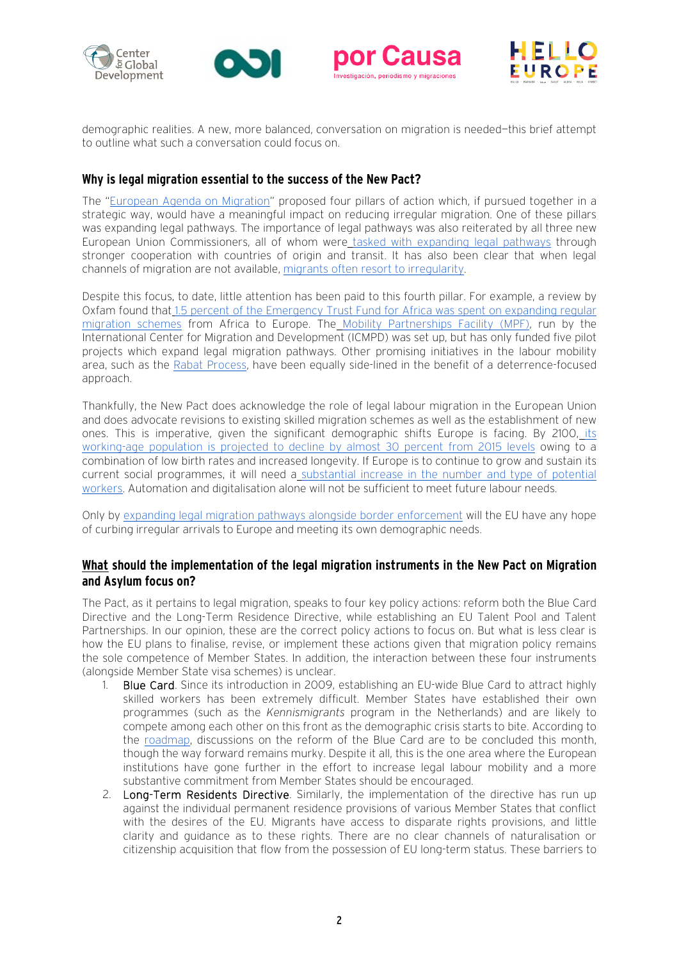







demographic realities. A new, more balanced, conversation on migration is needed—this brief attempt to outline what such a conversation could focus on.

#### **Why is legal migration essential to the success of the New Pact?**

The ["European Agenda on Migration"](https://ec.europa.eu/home-affairs/what-we-do/policies/european-agenda-migration_en) proposed four pillars of action which, if pursued together in a strategic way, would have a meaningful impact on reducing irregular migration. One of these pillars was expanding legal pathways. The importance of legal pathways was also reiterated by all three new European Union Commissioners, all of whom were [tasked with expanding legal pathways](https://www.cgdev.org/blog/commissioners-johansson-schinas-and-urpilainen-heres-how-you-can-use-legal-pathways-manage) through stronger cooperation with countries of origin and transit. It has also been clear that when legal channels of migration are not available[, migrants often resort to irregularity.](https://www.migrationinstitute.org/publications/wp-84-14)

Despite this focus, to date, little attention has been paid to this fourth pillar. For example, a review by Oxfam found that [1.5 percent of the Emergency Trust Fund for Africa was spent on expanding regular](https://policy-practice.oxfam.org.uk/publications/the-eu-trust-fund-for-africa-trapped-between-aid-policy-and-migration-politics-620936)  [migration schemes](https://policy-practice.oxfam.org.uk/publications/the-eu-trust-fund-for-africa-trapped-between-aid-policy-and-migration-politics-620936) from Africa to Europe. The [Mobility Partnerships Facility \(MPF\),](https://mobilitypartnershipfacility.eu/) run by the International Center for Migration and Development (ICMPD) was set up, but has only funded five pilot projects which expand legal migration pathways. Other promising initiatives in the labour mobility area, such as the [Rabat Process,](https://www.rabat-process.org/en/) have been equally side-lined in the benefit of a deterrence-focused approach.

Thankfully, the New Pact does acknowledge the role of legal labour migration in the European Union and does advocate revisions to existing skilled migration schemes as well as the establishment of new ones. This is imperative, given the significant demographic shifts Europe is facing. By 2100, [its](https://population.un.org/wpp/)  [working-age population is projected to decline by almost 30 percent from 2015 levels](https://population.un.org/wpp/) owing to a combination of low birth rates and increased longevity. If Europe is to continue to grow and sustain its current social programmes, it will need a [substantial increase in the number and type of potential](https://www.cgdev.org/publication/promoting-new-kinds-legal-labour-migration-pathways-between-europe-and-africa)  [workers.](https://www.cgdev.org/publication/promoting-new-kinds-legal-labour-migration-pathways-between-europe-and-africa) Automation and digitalisation alone will not be sufficient to meet future labour needs.

Only by [expanding legal migration pathways alongside border enforcement](https://www.cgdev.org/blog/eu-migration-pact-why-effective-asylum-returns-are-necessary) will the EU have any hope of curbing irregular arrivals to Europe and meeting its own demographic needs.

### **What should the implementation of the legal migration instruments in the New Pact on Migration and Asylum focus on?**

The Pact, as it pertains to legal migration, speaks to four key policy actions: reform both the Blue Card Directive and the Long-Term Residence Directive, while establishing an EU Talent Pool and Talent Partnerships. In our opinion, these are the correct policy actions to focus on. But what is less clear is how the EU plans to finalise, revise, or implement these actions given that migration policy remains the sole competence of Member States. In addition, the interaction between these four instruments (alongside Member State visa schemes) is unclear.

- 1. Blue Card. Since its introduction in 2009, establishing an EU-wide Blue Card to attract highly skilled workers has been extremely difficult. Member States have established their own programmes (such as the *Kennismigrants* program in the Netherlands) and are likely to compete among each other on this front as the demographic crisis starts to bite. According to the [roadmap,](https://eur-lex.europa.eu/legal-content/EN/TXT/?qid=1601287338054&uri=COM%3A2020%3A609%3AFIN#document2) discussions on the reform of the Blue Card are to be concluded this month, though the way forward remains murky. Despite it all, this is the one area where the European institutions have gone further in the effort to increase legal labour mobility and a more substantive commitment from Member States should be encouraged.
- 2. Long-Term Residents Directive. Similarly, the implementation of the directive has run up against the individual permanent residence provisions of various Member States that conflict with the desires of the EU. Migrants have access to disparate rights provisions, and little clarity and guidance as to these rights. There are no clear channels of naturalisation or citizenship acquisition that flow from the possession of EU long-term status. These barriers to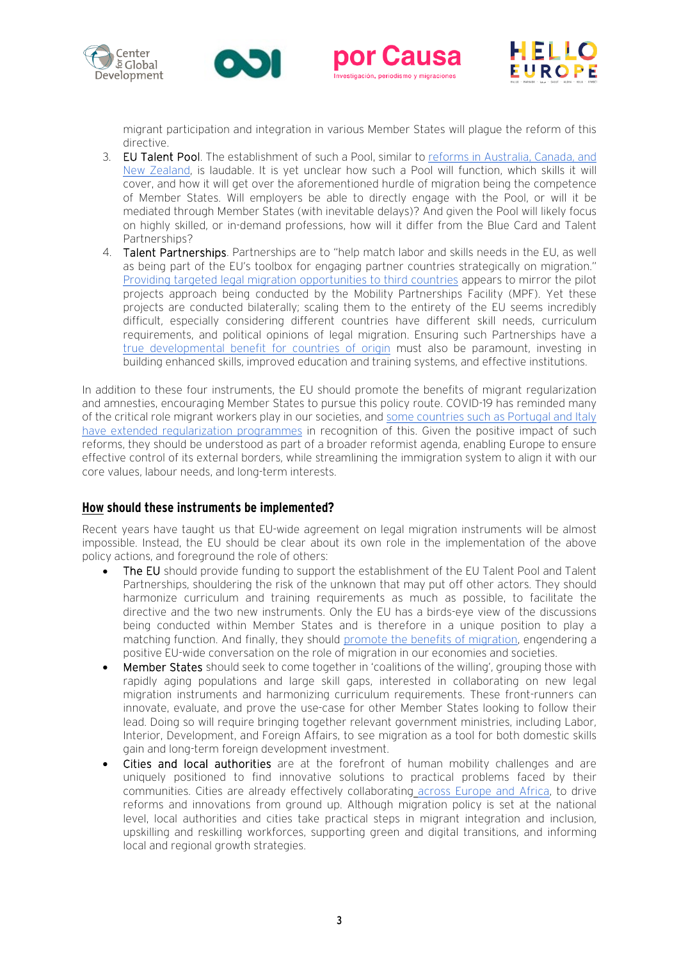







migrant participation and integration in various Member States will plague the reform of this directive.

- 3. EU Talent Pool. The establishment of such a Pool, similar t[o reforms in Australia, Canada, and](http://www.oecd.org/publications/building-an-eu-talent-pool-6ea982a0-en.htm)  [New Zealand,](http://www.oecd.org/publications/building-an-eu-talent-pool-6ea982a0-en.htm) is laudable. It is yet unclear how such a Pool will function, which skills it will cover, and how it will get over the aforementioned hurdle of migration being the competence of Member States. Will employers be able to directly engage with the Pool, or will it be mediated through Member States (with inevitable delays)? And given the Pool will likely focus on highly skilled, or in-demand professions, how will it differ from the Blue Card and Talent Partnerships?
- 4. Talent Partnerships. Partnerships are to "help match labor and skills needs in the EU, as well as being part of the EU's toolbox for engaging partner countries strategically on migration." [Providing targeted legal migration opportunities to third countries](https://www.cgdev.org/blog/eu-migration-pact-putting-talent-partnerships-practice) appears to mirror the pilot projects approach being conducted by the Mobility Partnerships Facility (MPF). Yet these projects are conducted bilaterally; scaling them to the entirety of the EU seems incredibly difficult, especially considering different countries have different skill needs, curriculum requirements, and political opinions of legal migration. Ensuring such Partnerships have a [true developmental benefit for countries of origin](https://www.cgdev.org/gsp) must also be paramount, investing in building enhanced skills, improved education and training systems, and effective institutions.

In addition to these four instruments, the EU should promote the benefits of migrant regularization and amnesties, encouraging Member States to pursue this policy route. COVID-19 has reminded many of the critical role migrant workers play in our societies, and some countries such as Portugal and Italy [have extended regularization programmes](https://www.cgdev.org/blog/regularizing-migrant-workers-response-covid-19) in recognition of this. Given the positive impact of such reforms, they should be understood as part of a broader reformist agenda, enabling Europe to ensure effective control of its external borders, while streamlining the immigration system to align it with our core values, labour needs, and long-term interests.

## **How should these instruments be implemented?**

Recent years have taught us that EU-wide agreement on legal migration instruments will be almost impossible. Instead, the EU should be clear about its own role in the implementation of the above policy actions, and foreground the role of others:

- The EU should provide funding to support the establishment of the EU Talent Pool and Talent Partnerships, shouldering the risk of the unknown that may put off other actors. They should harmonize curriculum and training requirements as much as possible, to facilitate the directive and the two new instruments. Only the EU has a birds-eye view of the discussions being conducted within Member States and is therefore in a unique position to play a matching function. And finally, they should [promote the benefits of migration,](https://www.cgdev.org/event/conversations-covid-19-and-development-ylva-johansson) engendering a positive EU-wide conversation on the role of migration in our economies and societies.
- Member States should seek to come together in 'coalitions of the willing', grouping those with rapidly aging populations and large skill gaps, interested in collaborating on new legal migration instruments and harmonizing curriculum requirements. These front-runners can innovate, evaluate, and prove the use-case for other Member States looking to follow their lead. Doing so will require bringing together relevant government ministries, including Labor, Interior, Development, and Foreign Affairs, to see migration as a tool for both domestic skills gain and long-term foreign development investment.
- Cities and local authorities are at the forefront of human mobility challenges and are uniquely positioned to find innovative solutions to practical problems faced by their communities. Cities are already effectively collaborating [across Europe and Africa,](https://protect-eu.mimecast.com/s/plfkCzKEWFnWkJf4H835?domain=odi.org) to drive reforms and innovations from ground up. Although migration policy is set at the national level, local authorities and cities take practical steps in migrant integration and inclusion, upskilling and reskilling workforces, supporting green and digital transitions, and informing local and regional growth strategies.